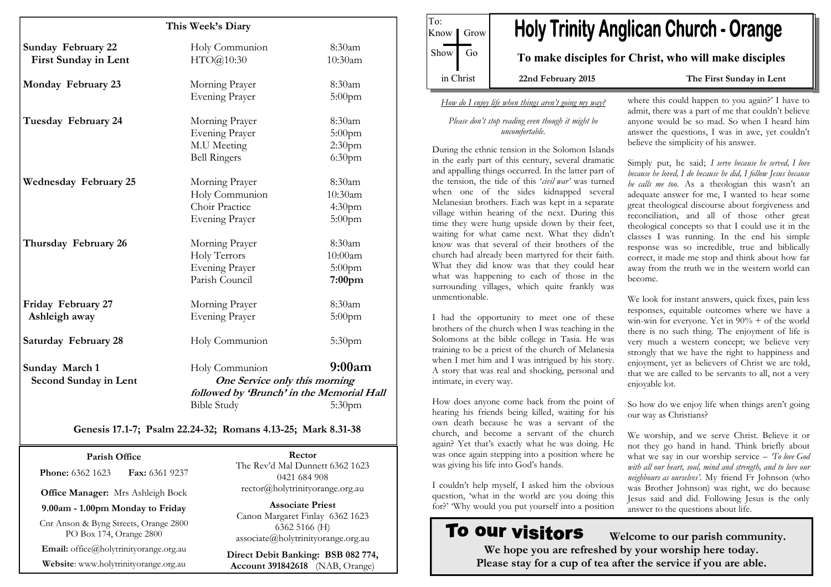| This Week's Diary            |                                           |                    |
|------------------------------|-------------------------------------------|--------------------|
|                              |                                           |                    |
| <b>Sunday February 22</b>    | Holy Communion                            | 8:30am             |
| <b>First Sunday in Lent</b>  | HTO@10:30                                 | 10:30am            |
|                              |                                           |                    |
| Monday February 23           | Morning Prayer                            | 8:30am             |
|                              | <b>Evening Prayer</b>                     | $5:00$ pm          |
|                              |                                           | 8:30am             |
| Tuesday February 24          | Morning Prayer                            |                    |
|                              | <b>Evening Prayer</b>                     | 5:00pm             |
|                              | M.U Meeting                               | 2:30pm             |
|                              | <b>Bell Ringers</b>                       | 6:30pm             |
| <b>Wednesday February 25</b> | Morning Prayer                            | 8:30am             |
|                              | Holy Communion                            | 10:30am            |
|                              | Choir Practice                            | 4:30pm             |
|                              | <b>Evening Prayer</b>                     | $5:00$ pm          |
|                              |                                           | 8:30am             |
| Thursday February 26         | Morning Prayer                            |                    |
|                              | Holy Terrors                              | 10:00am            |
|                              | <b>Evening Prayer</b>                     | $5:00$ pm          |
|                              | Parish Council                            | 7:00pm             |
| Friday February 27           | Morning Prayer                            | 8:30am             |
| Ashleigh away                | <b>Evening Prayer</b>                     | $5:00$ pm          |
|                              |                                           |                    |
| <b>Saturday February 28</b>  | Holy Communion                            | 5:30 <sub>pm</sub> |
| Sunday March 1               | Holy Communion                            | 9:00am             |
| Second Sunday in Lent        | One Service only this morning             |                    |
|                              | followed by 'Brunch' in the Memorial Hall |                    |
|                              | <b>Bible Study</b>                        | 5:30 <sub>pm</sub> |
|                              |                                           |                    |

#### Genesis 17.1-7; Psalm 22.24-32; Romans 4.13-25; Mark 8.31-38

Parish Office **Phone: 6362 1623 Fax: 6361 9237** 

Office Manager: Mrs Ashleigh Bock

9.00am - 1.00pm Monday to Friday

Cnr Anson & Byng Streets, Orange 2800 PO Box 174, Orange 2800

Email: office@holytrinityorange.org.au

Website: www.holytrinityorange.org.au

Rector The Rev'd Mal Dunnett 6362 1623 0421 684 908 rector@holytrinityorange.org.au

Associate Priest Canon Margaret Finlay 6362 1623 6362 5166 (H) associate@holytrinityorange.org.au

Direct Debit Banking: BSB 082 774, Account 391842618 (NAB, Orange)

To: Know | Grow  $Show$  Go in Christ

# **Holy Trinity Anglican Church - Orange**

To make disciples for Christ, who will make disciples

22nd February 2015 The First Sunday in Lent

#### How do I enjoy life when things aren't going my way?

#### Please don't stop reading even though it might be uncomfortable.

During the ethnic tension in the Solomon Islands in the early part of this century, several dramatic and appalling things occurred. In the latter part of the tension, the tide of this 'civil war' was turned when one of the sides kidnapped several Melanesian brothers. Each was kept in a separate village within hearing of the next. During this time they were hung upside down by their feet, waiting for what came next. What they didn't know was that several of their brothers of the church had already been martyred for their faith. What they did know was that they could hear what was happening to each of those in the surrounding villages, which quite frankly was unmentionable.

I had the opportunity to meet one of these brothers of the church when I was teaching in the Solomons at the bible college in Tasia. He was training to be a priest of the church of Melanesia when I met him and I was intrigued by his story. A story that was real and shocking, personal and intimate, in every way.

How does anyone come back from the point of hearing his friends being killed, waiting for his own death because he was a servant of the church, and become a servant of the church again? Yet that's exactly what he was doing. He was once again stepping into a position where he was giving his life into God's hands.

I couldn't help myself, I asked him the obvious question, 'what in the world are you doing this for?' 'Why would you put yourself into a position

# To our visitors

where this could happen to you again?' I have to admit, there was a part of me that couldn't believe anyone would be so mad. So when I heard him answer the questions, I was in awe, yet couldn't believe the simplicity of his answer.

Simply put, he said; I serve because he served, I love because he loved, I do because he did, I follow Jesus because he calls me too. As a theologian this wasn't an adequate answer for me, I wanted to hear some great theological discourse about forgiveness and reconciliation, and all of those other great theological concepts so that I could use it in the classes I was running. In the end his simple response was so incredible, true and biblically correct, it made me stop and think about how far away from the truth we in the western world can become.

We look for instant answers, quick fixes, pain less responses, equitable outcomes where we have a win-win for everyone. Yet in 90% + of the world there is no such thing. The enjoyment of life is very much a western concept; we believe very strongly that we have the right to happiness and enjoyment, yet as believers of Christ we are told, that we are called to be servants to all, not a very enjoyable lot.

So how do we enjoy life when things aren't going our way as Christians?

We worship, and we serve Christ. Believe it or not they go hand in hand. Think briefly about what we say in our worship service - To love God with all our heart, soul, mind and strength, and to love our neighbours as ourselves'. My friend Fr Johnson (who was Brother Johnson) was right, we do because Jesus said and did. Following Jesus is the only answer to the questions about life.

 Welcome to our parish community. We hope you are refreshed by your worship here today. Please stay for a cup of tea after the service if you are able.